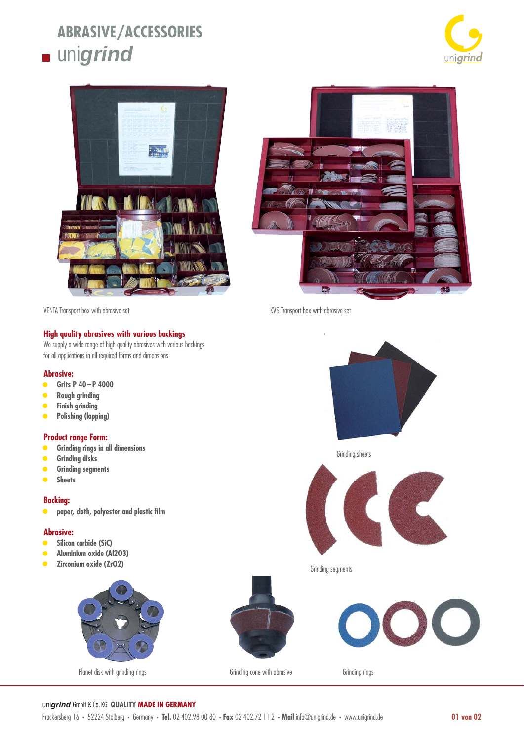# **ABRASIVE/ACCESSORIES unigrind**





## **High quality abrasives with various backings**

We supply a wide range of high quality abrasives with various backings for all applications in all required forms and dimensions.

#### **Abrasive:**

- **Grits P 40 P 4000**
- **Rough grinding**
- **Finish grinding**
- **Polishing (lapping)**

#### **Product range Form:**

- **Grinding rings in all dimensions**
- **Grinding disks**
- **Grinding segments**
- **Sheets**

#### **Backing:**

**•** paper, cloth, polyester and plastic film

#### **Abrasive:**

- **Silicon carbide (SiC)**
- **Aluminium oxide (Al2O3)**
- **Zirconium oxide (ZrO2)**



Planet disk with grinding rings and the Grinding cone with abrasive Grinding rings Grinding rings

VENTA Transport box with abrasive set KVS Transport box with abrasive set





Grinding segments





## uni*grind* GmbH & Co. KG **QUALITY MADE IN GERMANY**